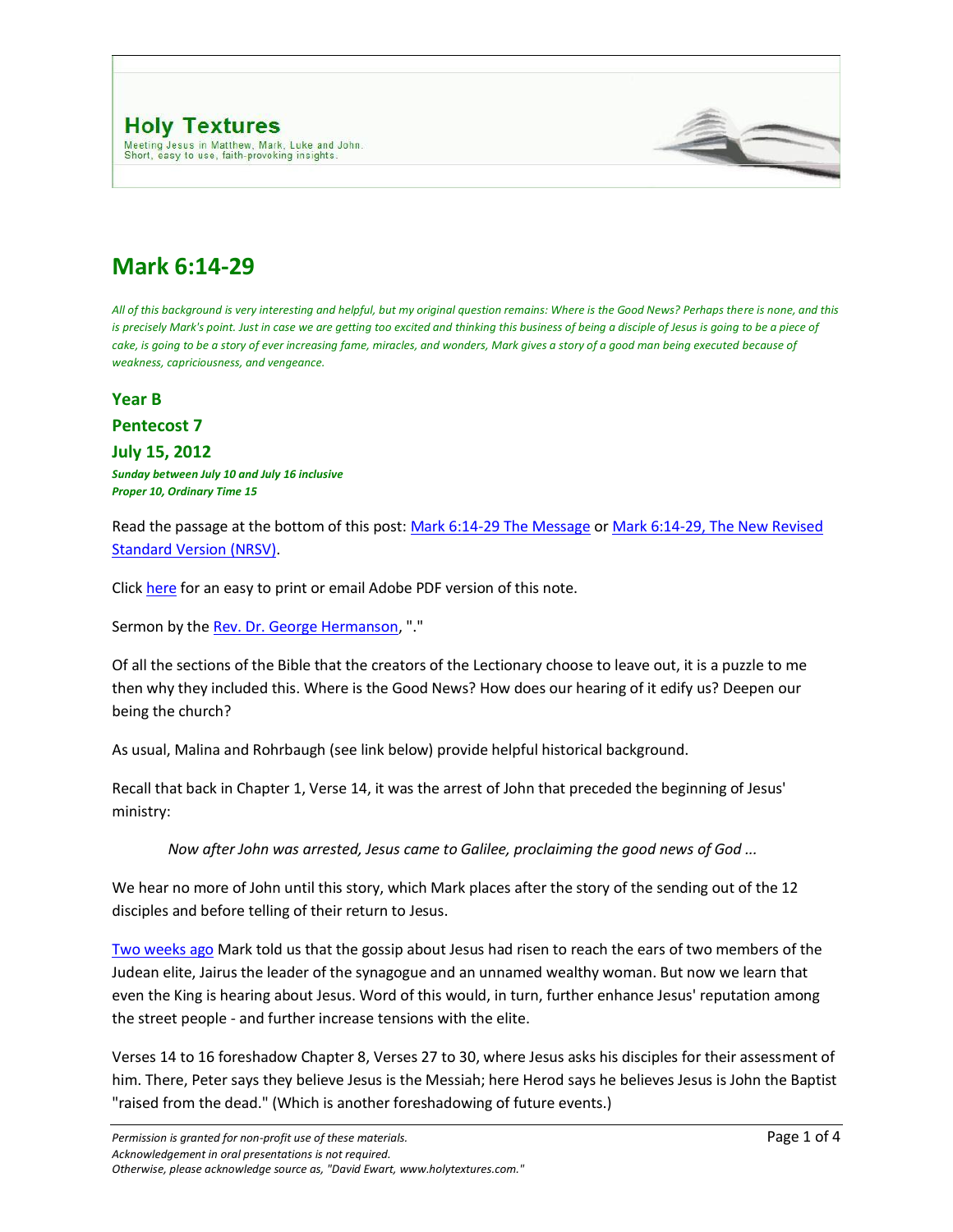

## **Mark 6:14-29**

*All of this background is very interesting and helpful, but my original question remains: Where is the Good News? Perhaps there is none, and this is precisely Mark's point. Just in case we are getting too excited and thinking this business of being a disciple of Jesus is going to be a piece of* cake, is going to be a story of ever increasing fame, miracles, and wonders, Mark gives a story of a good man being executed because of *weakness, capriciousness, and vengeance.*

**Year B**

**Pentecost 7**

**July 15, 2012** *Sunday between July 10 and July 16 inclusive Proper 10, Ordinary Time 15*

Read the passage at the bottom of this post[: Mark 6:14-29 The Message](http://www.typepad.com/site/blogs/6a00d8345310da69e200d8347d353569e2/compose/preview/post#MSG) o[r Mark 6:14-29, The New Revised](http://www.typepad.com/site/blogs/6a00d8345310da69e200d8347d353569e2/compose/preview/post#NRSV) [Standard Version \(NRSV\).](http://www.typepad.com/site/blogs/6a00d8345310da69e200d8347d353569e2/compose/preview/post#NRSV)

Click [here](http://www.holytextures.com/Mark-06-14-29.pdf) for an easy to print or email Adobe PDF version of this note.

Sermon by the [Rev. Dr. George Hermanson,](http://www.georgehermanson.com/) "."

Of all the sections of the Bible that the creators of the Lectionary choose to leave out, it is a puzzle to me then why they included this. Where is the Good News? How does our hearing of it edify us? Deepen our being the church?

As usual, Malina and Rohrbaugh (see link below) provide helpful historical background.

Recall that back in Chapter 1, Verse 14, it was the arrest of John that preceded the beginning of Jesus' ministry:

*Now after John was arrested, Jesus came to Galilee, proclaiming the good news of God ...*

We hear no more of John until this story, which Mark places after the story of the sending out of the 12 disciples and before telling of their return to Jesus.

[Two weeks ago](http://www.holytextures.com/2009/06/mark-5-21-43-year-b-pentecost-june-26-july-2-sermon.html) Mark told us that the gossip about Jesus had risen to reach the ears of two members of the Judean elite, Jairus the leader of the synagogue and an unnamed wealthy woman. But now we learn that even the King is hearing about Jesus. Word of this would, in turn, further enhance Jesus' reputation among the street people - and further increase tensions with the elite.

Verses 14 to 16 foreshadow Chapter 8, Verses 27 to 30, where Jesus asks his disciples for their assessment of him. There, Peter says they believe Jesus is the Messiah; here Herod says he believes Jesus is John the Baptist "raised from the dead." (Which is another foreshadowing of future events.)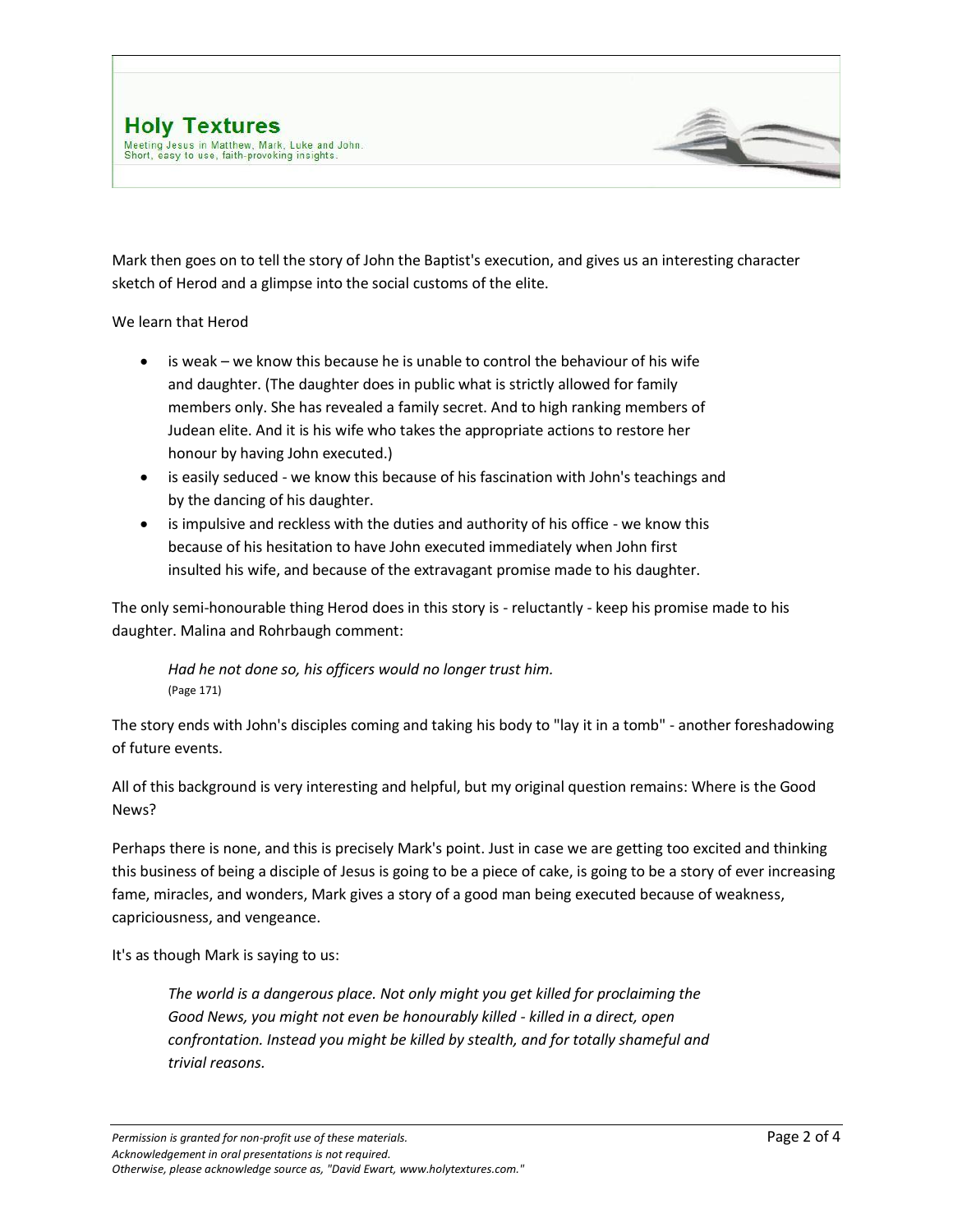Mark then goes on to tell the story of John the Baptist's execution, and gives us an interesting character sketch of Herod and a glimpse into the social customs of the elite.

We learn that Herod

- is weak we know this because he is unable to control the behaviour of his wife and daughter. (The daughter does in public what is strictly allowed for family members only. She has revealed a family secret. And to high ranking members of Judean elite. And it is his wife who takes the appropriate actions to restore her honour by having John executed.)
- is easily seduced we know this because of his fascination with John's teachings and by the dancing of his daughter.
- is impulsive and reckless with the duties and authority of his office we know this because of his hesitation to have John executed immediately when John first insulted his wife, and because of the extravagant promise made to his daughter.

The only semi-honourable thing Herod does in this story is - reluctantly - keep his promise made to his daughter. Malina and Rohrbaugh comment:

*Had he not done so, his officers would no longer trust him.*  (Page 171)

The story ends with John's disciples coming and taking his body to "lay it in a tomb" - another foreshadowing of future events.

All of this background is very interesting and helpful, but my original question remains: Where is the Good News?

Perhaps there is none, and this is precisely Mark's point. Just in case we are getting too excited and thinking this business of being a disciple of Jesus is going to be a piece of cake, is going to be a story of ever increasing fame, miracles, and wonders, Mark gives a story of a good man being executed because of weakness, capriciousness, and vengeance.

It's as though Mark is saying to us:

*The world is a dangerous place. Not only might you get killed for proclaiming the Good News, you might not even be honourably killed - killed in a direct, open confrontation. Instead you might be killed by stealth, and for totally shameful and trivial reasons.*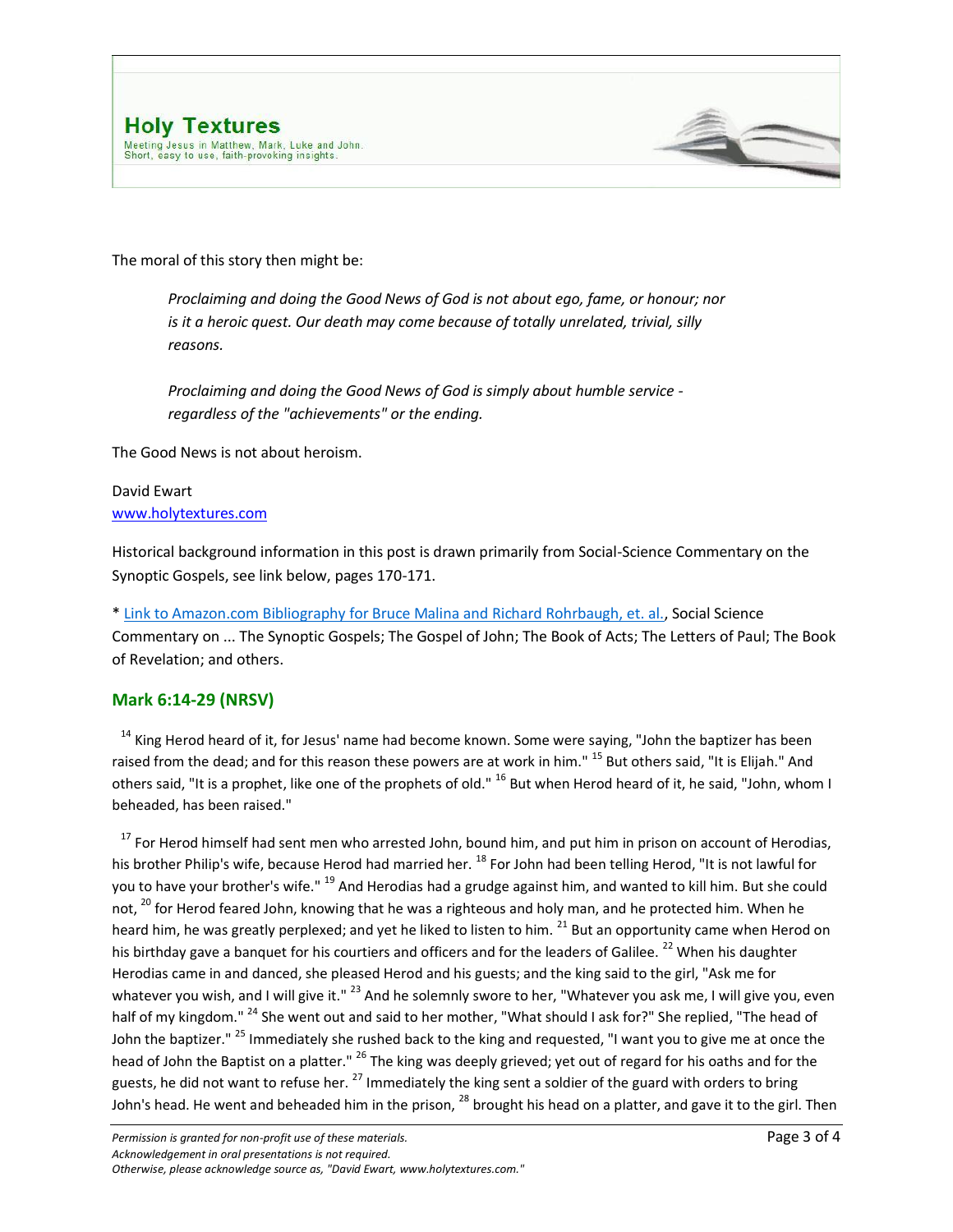

The moral of this story then might be:

*Proclaiming and doing the Good News of God is not about ego, fame, or honour; nor is it a heroic quest. Our death may come because of totally unrelated, trivial, silly reasons.*

*Proclaiming and doing the Good News of God is simply about humble service regardless of the "achievements" or the ending.*

The Good News is not about heroism.

## David Ewart [www.holytextures.com](http://www.holytextures.com/)

Historical background information in this post is drawn primarily from Social-Science Commentary on the Synoptic Gospels, see link below, pages 170-171.

[\\* Link to Amazon.com Bibliography for Bruce Malina and Richard Rohrbaugh, et. al.,](http://www.amazon.com/Bruce-J.-Malina/e/B000APRY4A/ref=ntt_athr_dp_pel_1) Social Science Commentary on ... The Synoptic Gospels; The Gospel of John; The Book of Acts; The Letters of Paul; The Book of Revelation; and others.

## **Mark 6:14-29 (NRSV)**

<sup>14</sup> King Herod heard of it, for Jesus' name had become known. Some were saying, "John the baptizer has been raised from the dead; and for this reason these powers are at work in him." <sup>15</sup> But others said, "It is Elijah." And others said, "It is a prophet, like one of the prophets of old." <sup>16</sup> But when Herod heard of it, he said, "John, whom I beheaded, has been raised."

<sup>17</sup> For Herod himself had sent men who arrested John, bound him, and put him in prison on account of Herodias, his brother Philip's wife, because Herod had married her. <sup>18</sup> For John had been telling Herod, "It is not lawful for you to have your brother's wife." <sup>19</sup> And Herodias had a grudge against him, and wanted to kill him. But she could not, <sup>20</sup> for Herod feared John, knowing that he was a righteous and holy man, and he protected him. When he heard him, he was greatly perplexed; and yet he liked to listen to him. <sup>21</sup> But an opportunity came when Herod on his birthday gave a banquet for his courtiers and officers and for the leaders of Galilee.<sup>22</sup> When his daughter Herodias came in and danced, she pleased Herod and his guests; and the king said to the girl, "Ask me for whatever you wish, and I will give it." <sup>23</sup> And he solemnly swore to her, "Whatever you ask me, I will give you, even half of my kingdom." <sup>24</sup> She went out and said to her mother, "What should I ask for?" She replied, "The head of John the baptizer."<sup>25</sup> Immediately she rushed back to the king and requested, "I want you to give me at once the head of John the Baptist on a platter." <sup>26</sup> The king was deeply grieved; yet out of regard for his oaths and for the guests, he did not want to refuse her. <sup>27</sup> Immediately the king sent a soldier of the guard with orders to bring John's head. He went and beheaded him in the prison,  $^{28}$  brought his head on a platter, and gave it to the girl. Then